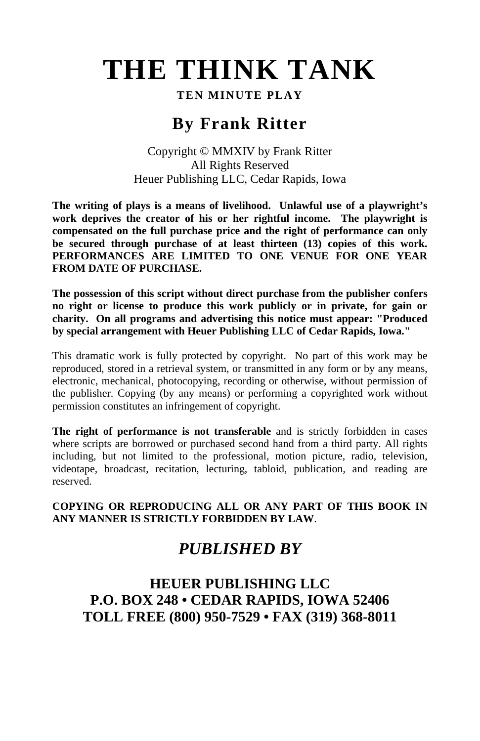# **THE THINK TANK**

#### **TEN MINUTE PLAY**

# **By Frank Ritter**

#### Copyright © MMXIV by Frank Ritter All Rights Reserved Heuer Publishing LLC, Cedar Rapids, Iowa

**The writing of plays is a means of livelihood. Unlawful use of a playwright's work deprives the creator of his or her rightful income. The playwright is compensated on the full purchase price and the right of performance can only be secured through purchase of at least thirteen (13) copies of this work. PERFORMANCES ARE LIMITED TO ONE VENUE FOR ONE YEAR FROM DATE OF PURCHASE.** 

**The possession of this script without direct purchase from the publisher confers no right or license to produce this work publicly or in private, for gain or charity. On all programs and advertising this notice must appear: "Produced by special arrangement with Heuer Publishing LLC of Cedar Rapids, Iowa."** 

This dramatic work is fully protected by copyright. No part of this work may be reproduced, stored in a retrieval system, or transmitted in any form or by any means, electronic, mechanical, photocopying, recording or otherwise, without permission of the publisher. Copying (by any means) or performing a copyrighted work without permission constitutes an infringement of copyright.

**The right of performance is not transferable** and is strictly forbidden in cases where scripts are borrowed or purchased second hand from a third party. All rights including, but not limited to the professional, motion picture, radio, television, videotape, broadcast, recitation, lecturing, tabloid, publication, and reading are reserved.

**COPYING OR REPRODUCING ALL OR ANY PART OF THIS BOOK IN ANY MANNER IS STRICTLY FORBIDDEN BY LAW**.

## *PUBLISHED BY*

## **HEUER PUBLISHING LLC P.O. BOX 248 • CEDAR RAPIDS, IOWA 52406 TOLL FREE (800) 950-7529 • FAX (319) 368-8011**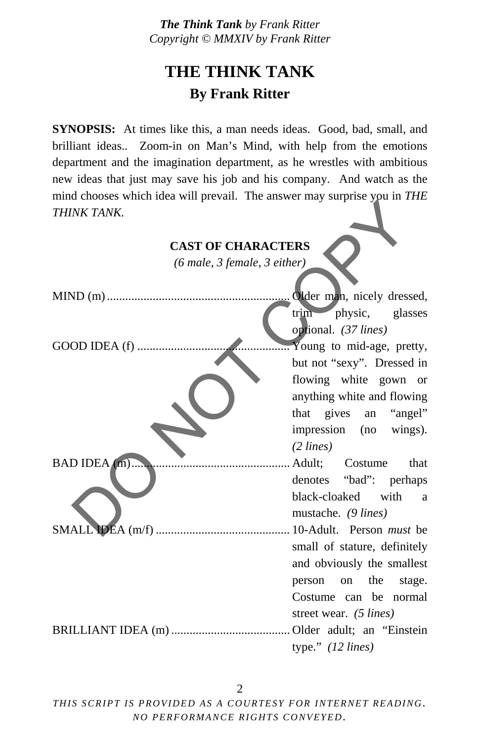# **THE THINK TANK By Frank Ritter**

**SYNOPSIS:** At times like this, a man needs ideas. Good, bad, small, and brilliant ideas.. Zoom-in on Man's Mind, with help from the emotions department and the imagination department, as he wrestles with ambitious new ideas that just may save his job and his company. And watch as the mind chooses which idea will prevail. The answer may surprise you in *THE THINK TANK.*

| THINK TANK.                                            |                                        |
|--------------------------------------------------------|----------------------------------------|
| <b>CAST OF CHARACTERS</b>                              |                                        |
| $(6 \text{ male}, 3 \text{ female}, 3 \text{ either})$ |                                        |
|                                                        |                                        |
|                                                        | trim physic, glasses                   |
|                                                        | optional. (37 lines)                   |
|                                                        | $\therefore$ Young to mid-age, pretty, |
|                                                        | but not "sexy". Dressed in             |
|                                                        | flowing white gown or                  |
|                                                        | anything white and flowing             |
|                                                        | that gives an "angel"                  |
|                                                        | impression (no wings).                 |
|                                                        | $(2 \text{ lines})$                    |
| BAD IDEA (m)                                           | Adult; Costume<br>that                 |
|                                                        | denotes "bad": perhaps                 |
|                                                        | black-cloaked with a                   |
|                                                        | mustache. (9 lines)                    |
|                                                        |                                        |
|                                                        | small of stature, definitely           |
|                                                        | and obviously the smallest             |
|                                                        | person on the<br>stage.                |
|                                                        | Costume can be normal                  |
|                                                        | street wear. (5 lines)                 |
|                                                        | Older adult; an "Einstein"             |
|                                                        | type." $(12 \text{ lines})$            |

2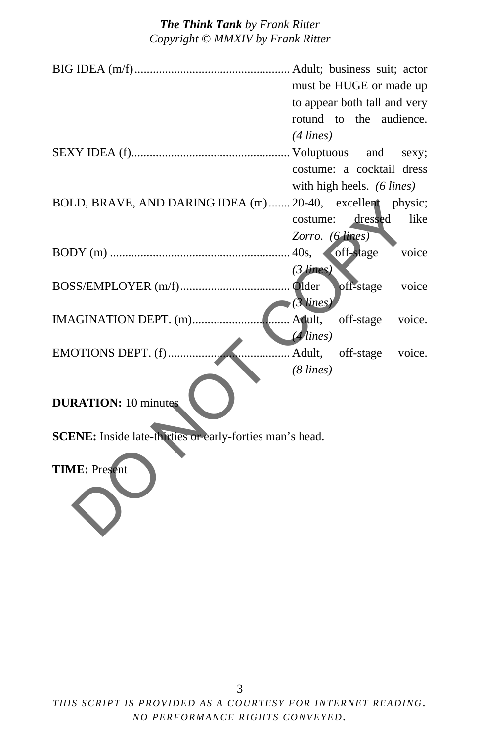|                                                                 | must be HUGE or made up         |
|-----------------------------------------------------------------|---------------------------------|
|                                                                 | to appear both tall and very    |
|                                                                 | rotund to the audience.         |
|                                                                 | $(4$ lines)                     |
|                                                                 |                                 |
|                                                                 | costume: a cocktail dress       |
|                                                                 | with high heels. (6 lines)      |
| BOLD, BRAVE, AND DARING IDEA (m)  20-40, excellent physic;      |                                 |
|                                                                 | dressed<br>like<br>costume:     |
|                                                                 | Zorro. (6 lines)                |
|                                                                 | voice<br>off-stage              |
|                                                                 | $(3$ lines)                     |
|                                                                 | off-stage<br>voice              |
|                                                                 | $(3$ lines)                     |
| IMAGINATION DEPT. (m)                                           | . Adult,<br>off-stage<br>voice. |
|                                                                 | $(4$ lines)                     |
| EMOTIONS DEPT. (f)                                              | Adult,<br>voice.<br>off-stage   |
|                                                                 |                                 |
|                                                                 | $(8 \text{ lines})$             |
| <b>DURATION: 10 minutes</b>                                     |                                 |
|                                                                 |                                 |
| <b>SCENE:</b> Inside late-thirties or early-forties man's head. |                                 |
| <b>TIME: Present</b>                                            |                                 |
|                                                                 |                                 |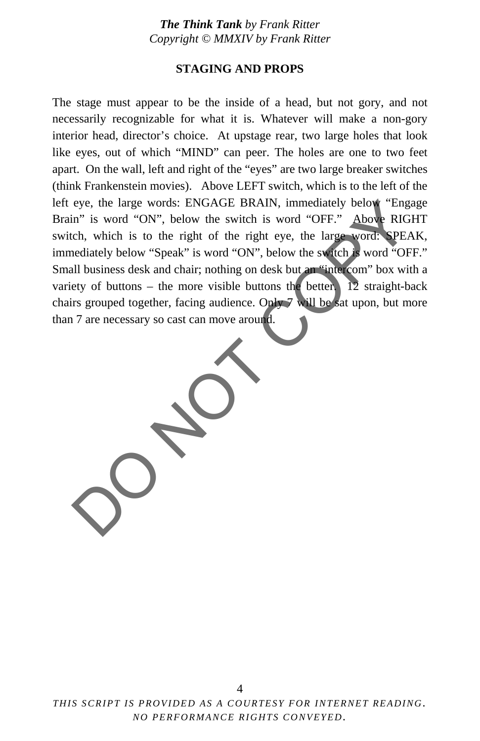#### **STAGING AND PROPS**

The stage must appear to be the inside of a head, but not gory, and not necessarily recognizable for what it is. Whatever will make a non-gory interior head, director's choice. At upstage rear, two large holes that look like eyes, out of which "MIND" can peer. The holes are one to two feet apart. On the wall, left and right of the "eyes" are two large breaker switches (think Frankenstein movies). Above LEFT switch, which is to the left of the left eye, the large words: ENGAGE BRAIN, immediately below "Engage Brain" is word "ON", below the switch is word "OFF." Above RIGHT switch, which is to the right of the right eye, the large word: SPEAK, immediately below "Speak" is word "ON", below the switch is word "OFF." Small business desk and chair; nothing on desk but an "intercom" box with a variety of buttons – the more visible buttons the better.  $\overline{12}$  straight-back chairs grouped together, facing audience. Only 7 will be sat upon, but more than 7 are necessary so cast can move around. eye, the large words: ENGAGE BRAIN, immediately below "Engage"<br>in" is word "ON", below the switch is word "OFF." Above RIGHT.<br>col. which is to the right of the right eye, the large word: SPEAK<br>electately below "Speak" is w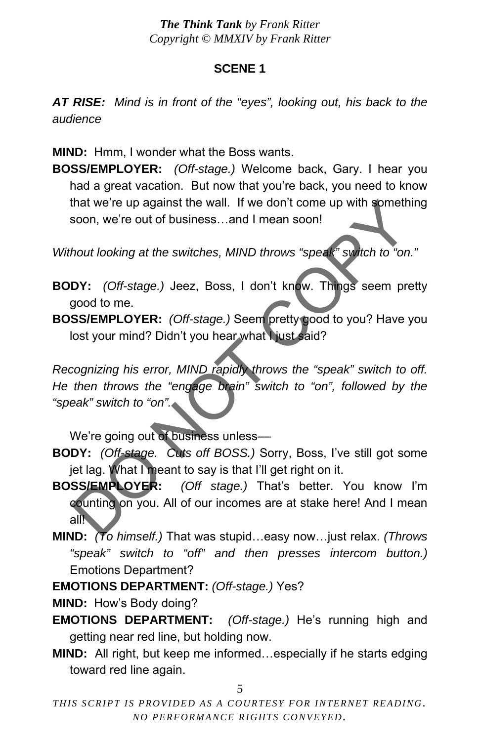#### **SCENE 1**

*AT RISE: Mind is in front of the "eyes", looking out, his back to the audience* 

**MIND:** Hmm, I wonder what the Boss wants.

**BOSS/EMPLOYER:** *(Off-stage.)* Welcome back, Gary. I hear you had a great vacation. But now that you're back, you need to know that we're up against the wall. If we don't come up with something soon, we're out of business…and I mean soon!

*Without looking at the switches, MIND throws "speak" switch to "on."* 

- **BODY:** *(Off-stage.)* Jeez, Boss, I don't know. Things seem pretty good to me.
- **BOSS/EMPLOYER:** *(Off-stage.)* Seem pretty good to you? Have you lost your mind? Didn't you hear what I just said?

*Recognizing his error, MIND rapidly throws the "speak" switch to off. He then throws the "engage brain" switch to "on", followed by the "speak" switch to "on".*  that we're up against the wall. If we don't come up with something<br>soon, we're out of business...and I mean soon!<br>hout looking at the switches, MIND throws "speak" syitch to "on."<br>DY: (Off-stage.) Jeez, Boss, I don't know.

We're going out of business unless-

- **BODY:** *(Off-stage. Cuts off BOSS.)* Sorry, Boss, I've still got some jet lag. What I meant to say is that I'll get right on it.
- **BOSS/EMPLOYER:** *(Off stage.)* That's better. You know I'm counting on you. All of our incomes are at stake here! And I mean all $\blacksquare$
- **MIND:** *(To himself.)* That was stupid…easy now…just relax. *(Throws "speak" switch to "off" and then presses intercom button.)*  Emotions Department?
- **EMOTIONS DEPARTMENT:** *(Off-stage.)* Yes?

**MIND:** How's Body doing?

- **EMOTIONS DEPARTMENT:** *(Off-stage.)* He's running high and getting near red line, but holding now.
- **MIND:** All right, but keep me informed…especially if he starts edging toward red line again.

5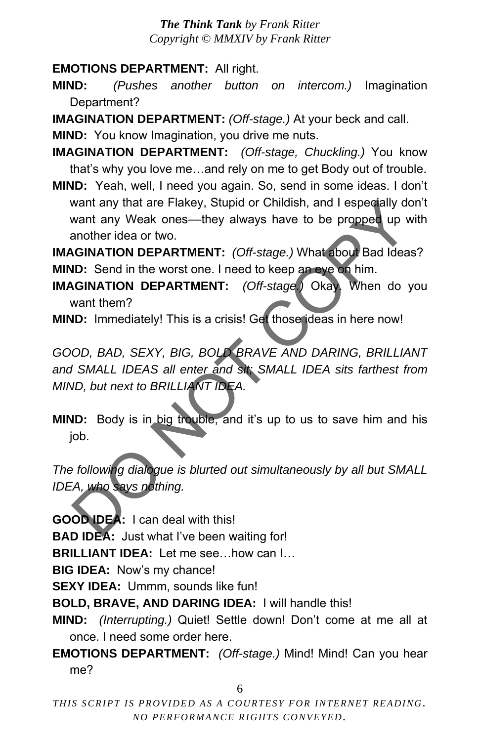**EMOTIONS DEPARTMENT:** All right.

**MIND:** *(Pushes another button on intercom.)* Imagination Department?

**IMAGINATION DEPARTMENT:** *(Off-stage.)* At your beck and call.

**MIND:** You know Imagination, you drive me nuts.

**IMAGINATION DEPARTMENT:** *(Off-stage, Chuckling.)* You know that's why you love me…and rely on me to get Body out of trouble.

**MIND:** Yeah, well, I need you again. So, send in some ideas. I don't want any that are Flakey, Stupid or Childish, and I especially don't want any Weak ones—they always have to be propped up with another idea or two.

**IMAGINATION DEPARTMENT:** *(Off-stage.)* What about Bad Ideas? **MIND:** Send in the worst one. I need to keep an eye on him.

**IMAGINATION DEPARTMENT:** *(Off-stage.)* Okay. When do you want them?

**MIND:** Immediately! This is a crisis! Get those ideas in here now!

*GOOD, BAD, SEXY, BIG, BOLD BRAVE AND DARING, BRILLIANT and SMALL IDEAS all enter and sit; SMALL IDEA sits farthest from MIND, but next to BRILLIANT IDEA.*  want any that are Flakey, Stupid or Childish, and I especially don<br>
want any Weak ones—they always have to be propped up with<br> **NONTATION DEPARTMENT:** (Off-stage.) What about Bad Ideas?<br> **ID:** Send in the worst one. I need

**MIND:** Body is in big trouble, and it's up to us to save him and his job.

*The following dialogue is blurted out simultaneously by all but SMALL IDEA, who says nothing.* 

**GOOD IDEA:** I can deal with this!

**BAD IDEA:** Just what I've been waiting for!

**BRILLIANT IDEA:** Let me see…how can I…

**BIG IDEA:** Now's my chance!

**SEXY IDEA:** Ummm, sounds like fun!

**BOLD, BRAVE, AND DARING IDEA:** I will handle this!

**MIND:** *(Interrupting.)* Quiet! Settle down! Don't come at me all at once. I need some order here.

**EMOTIONS DEPARTMENT:** *(Off-stage.)* Mind! Mind! Can you hear me?

6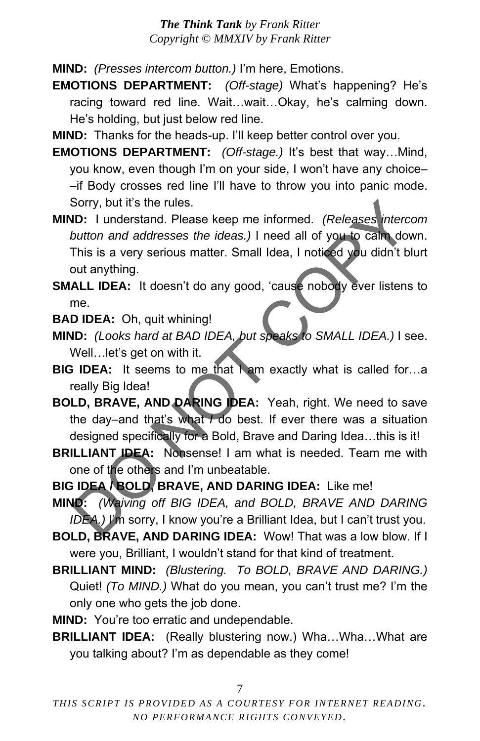**MIND:** *(Presses intercom button.)* I'm here, Emotions.

- **EMOTIONS DEPARTMENT:** *(Off-stage)* What's happening? He's racing toward red line. Wait…wait…Okay, he's calming down. He's holding, but just below red line.
- **MIND:** Thanks for the heads-up. I'll keep better control over you.
- **EMOTIONS DEPARTMENT:** *(Off-stage.)* It's best that way…Mind, you know, even though I'm on your side, I won't have any choice– –if Body crosses red line I'll have to throw you into panic mode. Sorry, but it's the rules.
- **MIND:** I understand. Please keep me informed. *(Releases intercom button and addresses the ideas.)* I need all of you to calm down. This is a very serious matter. Small Idea, I noticed you didn't blurt out anything. Sorry, but it's the rules.<br>
ID: 1 understand. Please keep me informed. (Releases intercon<br>
button and addresses the ideas.) I need all of you to call down<br>
This is a very serious matter. Small Idea, I noticed you didn't bl
- **SMALL IDEA:** It doesn't do any good, 'cause nobody ever listens to me.

**BAD IDEA:** Oh, quit whining!

- **MIND:** *(Looks hard at BAD IDEA, but speaks to SMALL IDEA.)* I see. Well…let's get on with it.
- **BIG IDEA:** It seems to me that I am exactly what is called for...a really Big Idea!
- **BOLD, BRAVE, AND DARING IDEA:** Yeah, right. We need to save the day–and that's what *I* do best. If ever there was a situation designed specifically for a Bold, Brave and Daring Idea…this is it!
- **BRILLIANT IDEA:** Nonsense! I am what is needed. Team me with one of the others and I'm unbeatable.
- **BIG IDEA / BOLD, BRAVE, AND DARING IDEA:** Like me!
- **MIND:** *(Waiving off BIG IDEA, and BOLD, BRAVE AND DARING IDEA.)* I'm sorry, I know you're a Brilliant Idea, but I can't trust you.

**BOLD, BRAVE, AND DARING IDEA:** Wow! That was a low blow. If I were you, Brilliant, I wouldn't stand for that kind of treatment.

- **BRILLIANT MIND:** *(Blustering. To BOLD, BRAVE AND DARING.)*  Quiet! *(To MIND.)* What do you mean, you can't trust me? I'm the only one who gets the job done.
- **MIND:** You're too erratic and undependable.
- **BRILLIANT IDEA:** (Really blustering now.) Wha…Wha…What are you talking about? I'm as dependable as they come!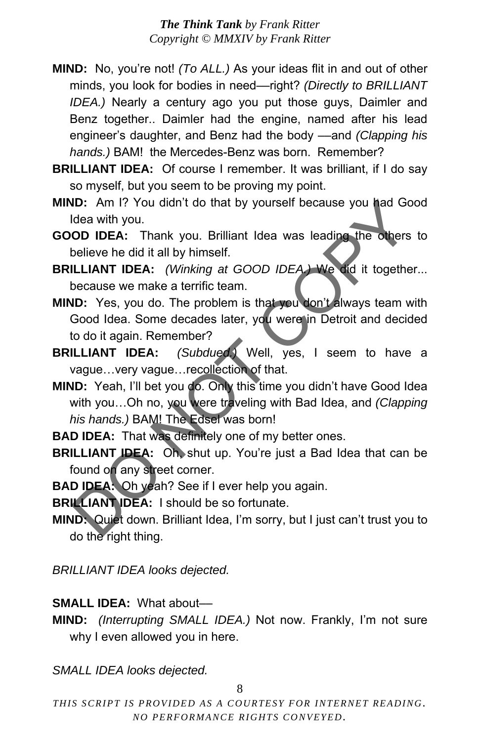- **MIND:** No, you're not! *(To ALL.)* As your ideas flit in and out of other minds, you look for bodies in need––right? *(Directly to BRILLIANT IDEA.)* Nearly a century ago you put those guys, Daimler and Benz together.. Daimler had the engine, named after his lead engineer's daughter, and Benz had the body ––and *(Clapping his hands.)* BAM! the Mercedes-Benz was born. Remember?
- **BRILLIANT IDEA:** Of course I remember. It was brilliant, if I do say so myself, but you seem to be proving my point.
- **MIND:** Am I? You didn't do that by yourself because you had Good Idea with you.
- **GOOD IDEA:** Thank you. Brilliant Idea was leading the others to believe he did it all by himself.
- **BRILLIANT IDEA:** *(Winking at GOOD IDEA.)* We did it together... because we make a terrific team.
- **MIND:** Yes, you do. The problem is that you don't always team with Good Idea. Some decades later, you were in Detroit and decided to do it again. Remember?
- **BRILLIANT IDEA:** *(Subdued.)* Well, yes, I seem to have a vague…very vague…recollection of that.
- **MIND:** Yeah, I'll bet you do. Only this time you didn't have Good Idea with you…Oh no, you were traveling with Bad Idea, and *(Clapping his hands.)* BAM! The Edsel was born! **ID:** Am 1? You didn't do that by yourself because you had Goor<br>
De IDEA: Thank you. Brilliant Idea was leading the others to<br>
Delive he did it all by himself.<br>
ILLIANT IDEA: (Winking at GOOD IDEA) We did it together.<br>
Dec
- **BAD IDEA:** That was definitely one of my better ones.
- **BRILLIANT IDEA:** Oh, shut up. You're just a Bad Idea that can be found on any street corner.
- **BAD IDEA:** Oh yeah? See if I ever help you again.
- **BRILLIANT IDEA:** I should be so fortunate.
- **MIND:** Quiet down. Brilliant Idea, I'm sorry, but I just can't trust you to do the right thing.

*BRILLIANT IDEA looks dejected.* 

#### **SMALL IDEA:** What about––

**MIND:** *(Interrupting SMALL IDEA.)* Not now. Frankly, I'm not sure why I even allowed you in here.

*SMALL IDEA looks dejected.* 

8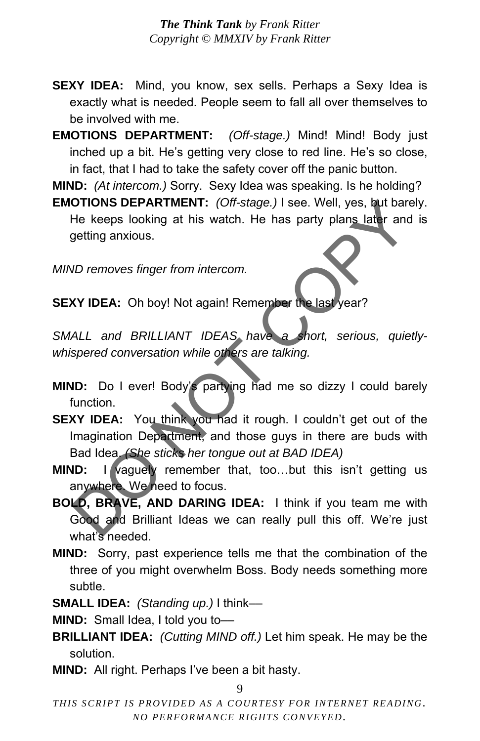**SEXY IDEA:** Mind, you know, sex sells. Perhaps a Sexy Idea is exactly what is needed. People seem to fall all over themselves to be involved with me.

**EMOTIONS DEPARTMENT:** *(Off-stage.)* Mind! Mind! Body just inched up a bit. He's getting very close to red line. He's so close, in fact, that I had to take the safety cover off the panic button.

**MIND:** *(At intercom.)* Sorry. Sexy Idea was speaking. Is he holding?

**EMOTIONS DEPARTMENT:** *(Off-stage.)* I see. Well, yes, but barely. He keeps looking at his watch. He has party plans later and is getting anxious.

*MIND removes finger from intercom.* 

**SEXY IDEA:** Oh boy! Not again! Remember the last year?

*SMALL and BRILLIANT IDEAS have a short, serious, quietlywhispered conversation while others are talking.* 

- **MIND:** Do I ever! Body's partying had me so dizzy I could barely function.
- **SEXY IDEA:** You think you had it rough. I couldn't get out of the Imagination Department, and those guys in there are buds with Bad Idea. *(She sticks her tongue out at BAD IDEA)* OTIONS DEPARTMENT: (Off-stage.) I see. Well, yes, but barely<br>He keeps looking at his watch. He has party plans later and is<br>getting anxious.<br>ND removes finger from intercom.<br>XY IDEA: Oh boy! Not again! Remember the last ye
- **MIND:** I vaguely remember that, too...but this isn't getting us anywhere. We need to focus.
- **BOLD, BRAVE, AND DARING IDEA:** I think if you team me with Good and Brilliant Ideas we can really pull this off. We're just what's needed.
- **MIND:** Sorry, past experience tells me that the combination of the three of you might overwhelm Boss. Body needs something more subtle.
- **SMALL IDEA:** *(Standing up.)* I think––

**MIND:** Small Idea, I told you to-

- **BRILLIANT IDEA:** *(Cutting MIND off.)* Let him speak. He may be the solution.
- **MIND:** All right. Perhaps I've been a bit hasty.

9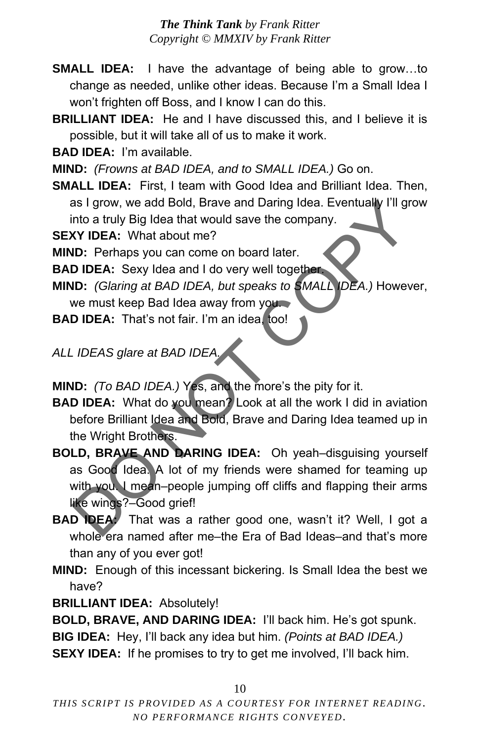**SMALL IDEA:** I have the advantage of being able to grow…to change as needed, unlike other ideas. Because I'm a Small Idea I won't frighten off Boss, and I know I can do this.

**BRILLIANT IDEA:** He and I have discussed this, and I believe it is possible, but it will take all of us to make it work.

**BAD IDEA:** I'm available.

**MIND:** *(Frowns at BAD IDEA, and to SMALL IDEA.)* Go on.

**SMALL IDEA:** First, I team with Good Idea and Brilliant Idea. Then, as I grow, we add Bold, Brave and Daring Idea. Eventually I'll grow into a truly Big Idea that would save the company.

**SEXY IDEA:** What about me?

**MIND:** Perhaps you can come on board later.

**BAD IDEA:** Sexy Idea and I do very well together.

**MIND:** *(Glaring at BAD IDEA, but speaks to SMALL IDEA.)* However,

we must keep Bad Idea away from you.

**BAD IDEA:** That's not fair. I'm an idea, too!

## **ALL IDEAS glare at BAD IDEA**

**MIND:** *(To BAD IDEA.)* Yes, and the more's the pity for it.

**BAD IDEA:** What do you mean? Look at all the work I did in aviation before Brilliant Idea and Bold, Brave and Daring Idea teamed up in the Wright Brothers.

**BOLD, BRAVE AND DARING IDEA:** Oh yeah–disguising yourself as Good Idea. A lot of my friends were shamed for teaming up with you. I mean–people jumping off cliffs and flapping their arms like wings?–Good grief! as I grow, we add Bold, Brave and Daring Idea. Eventually I'll grow<br> **KY IDEA:** What about me?<br> **ID:** Perhaps you can come on board later.<br> **DIDEA:** Sexy Idea and I do very well together<br> **ID:** (Glaring at BAD IDEA, but sp

**BAD IDEA:** That was a rather good one, wasn't it? Well, I got a whole era named after me–the Era of Bad Ideas–and that's more than any of you ever got!

**MIND:** Enough of this incessant bickering. Is Small Idea the best we have?

**BRILLIANT IDEA:** Absolutely!

**BOLD, BRAVE, AND DARING IDEA:** I'll back him. He's got spunk. **BIG IDEA:** Hey, I'll back any idea but him. *(Points at BAD IDEA.)* **SEXY IDEA:** If he promises to try to get me involved, I'll back him.

10